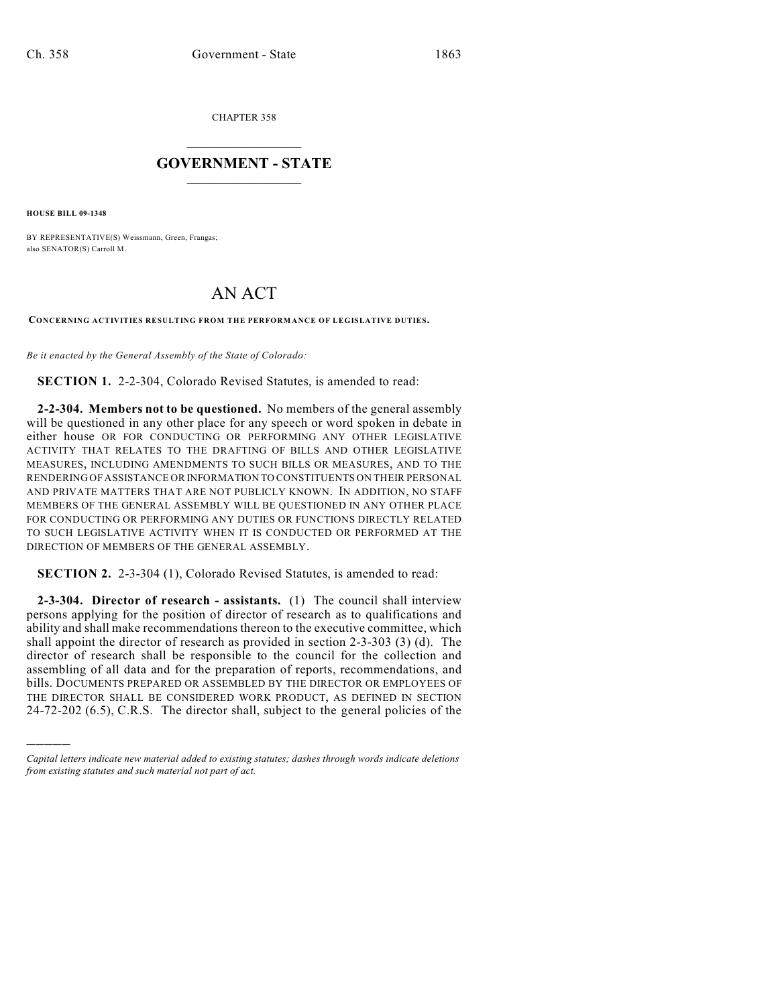CHAPTER 358

## $\overline{\phantom{a}}$  . The set of the set of the set of the set of the set of the set of the set of the set of the set of the set of the set of the set of the set of the set of the set of the set of the set of the set of the set o **GOVERNMENT - STATE**  $\_$

**HOUSE BILL 09-1348**

)))))

BY REPRESENTATIVE(S) Weissmann, Green, Frangas; also SENATOR(S) Carroll M.

## AN ACT

**CONCERNING ACTIVITIES RESULTING FROM THE PERFORMANCE OF LEGISLATIVE DUTIES.**

*Be it enacted by the General Assembly of the State of Colorado:*

**SECTION 1.** 2-2-304, Colorado Revised Statutes, is amended to read:

**2-2-304. Members not to be questioned.** No members of the general assembly will be questioned in any other place for any speech or word spoken in debate in either house OR FOR CONDUCTING OR PERFORMING ANY OTHER LEGISLATIVE ACTIVITY THAT RELATES TO THE DRAFTING OF BILLS AND OTHER LEGISLATIVE MEASURES, INCLUDING AMENDMENTS TO SUCH BILLS OR MEASURES, AND TO THE RENDERING OF ASSISTANCE OR INFORMATION TO CONSTITUENTS ON THEIR PERSONAL AND PRIVATE MATTERS THAT ARE NOT PUBLICLY KNOWN. IN ADDITION, NO STAFF MEMBERS OF THE GENERAL ASSEMBLY WILL BE QUESTIONED IN ANY OTHER PLACE FOR CONDUCTING OR PERFORMING ANY DUTIES OR FUNCTIONS DIRECTLY RELATED TO SUCH LEGISLATIVE ACTIVITY WHEN IT IS CONDUCTED OR PERFORMED AT THE DIRECTION OF MEMBERS OF THE GENERAL ASSEMBLY.

**SECTION 2.** 2-3-304 (1), Colorado Revised Statutes, is amended to read:

**2-3-304. Director of research - assistants.** (1) The council shall interview persons applying for the position of director of research as to qualifications and ability and shall make recommendations thereon to the executive committee, which shall appoint the director of research as provided in section 2-3-303 (3) (d). The director of research shall be responsible to the council for the collection and assembling of all data and for the preparation of reports, recommendations, and bills. DOCUMENTS PREPARED OR ASSEMBLED BY THE DIRECTOR OR EMPLOYEES OF THE DIRECTOR SHALL BE CONSIDERED WORK PRODUCT, AS DEFINED IN SECTION 24-72-202 (6.5), C.R.S. The director shall, subject to the general policies of the

*Capital letters indicate new material added to existing statutes; dashes through words indicate deletions from existing statutes and such material not part of act.*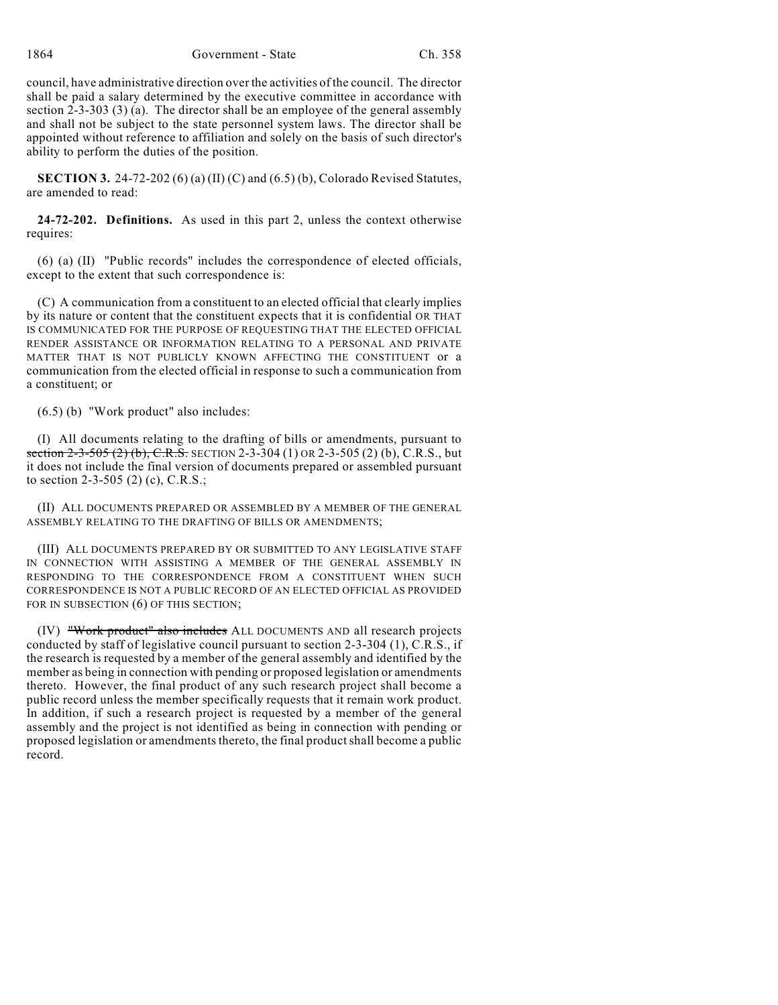council, have administrative direction over the activities of the council. The director shall be paid a salary determined by the executive committee in accordance with section 2-3-303 (3) (a). The director shall be an employee of the general assembly and shall not be subject to the state personnel system laws. The director shall be appointed without reference to affiliation and solely on the basis of such director's ability to perform the duties of the position.

**SECTION 3.** 24-72-202 (6) (a) (II) (C) and (6.5) (b), Colorado Revised Statutes, are amended to read:

**24-72-202. Definitions.** As used in this part 2, unless the context otherwise requires:

(6) (a) (II) "Public records" includes the correspondence of elected officials, except to the extent that such correspondence is:

(C) A communication from a constituent to an elected official that clearly implies by its nature or content that the constituent expects that it is confidential OR THAT IS COMMUNICATED FOR THE PURPOSE OF REQUESTING THAT THE ELECTED OFFICIAL RENDER ASSISTANCE OR INFORMATION RELATING TO A PERSONAL AND PRIVATE MATTER THAT IS NOT PUBLICLY KNOWN AFFECTING THE CONSTITUENT or a communication from the elected official in response to such a communication from a constituent; or

(6.5) (b) "Work product" also includes:

(I) All documents relating to the drafting of bills or amendments, pursuant to section 2-3-505 (2) (b), C.R.S. SECTION 2-3-304 (1) OR 2-3-505 (2) (b), C.R.S., but it does not include the final version of documents prepared or assembled pursuant to section 2-3-505 (2) (c), C.R.S.;

(II) ALL DOCUMENTS PREPARED OR ASSEMBLED BY A MEMBER OF THE GENERAL ASSEMBLY RELATING TO THE DRAFTING OF BILLS OR AMENDMENTS;

(III) ALL DOCUMENTS PREPARED BY OR SUBMITTED TO ANY LEGISLATIVE STAFF IN CONNECTION WITH ASSISTING A MEMBER OF THE GENERAL ASSEMBLY IN RESPONDING TO THE CORRESPONDENCE FROM A CONSTITUENT WHEN SUCH CORRESPONDENCE IS NOT A PUBLIC RECORD OF AN ELECTED OFFICIAL AS PROVIDED FOR IN SUBSECTION (6) OF THIS SECTION;

(IV) "Work product" also includes ALL DOCUMENTS AND all research projects conducted by staff of legislative council pursuant to section 2-3-304 (1), C.R.S., if the research is requested by a member of the general assembly and identified by the member as being in connection with pending or proposed legislation or amendments thereto. However, the final product of any such research project shall become a public record unless the member specifically requests that it remain work product. In addition, if such a research project is requested by a member of the general assembly and the project is not identified as being in connection with pending or proposed legislation or amendments thereto, the final product shall become a public record.